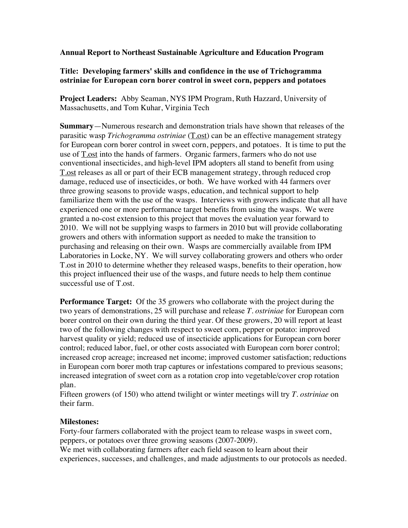**Annual Report to Northeast Sustainable Agriculture and Education Program**

## **Title: Developing farmers' skills and confidence in the use of Trichogramma ostriniae for European corn borer control in sweet corn, peppers and potatoes**

**Project Leaders:** Abby Seaman, NYS IPM Program, Ruth Hazzard, University of Massachusetts, and Tom Kuhar, Virginia Tech

**Summary**—Numerous research and demonstration trials have shown that releases of the parasitic wasp *Trichogramma ostriniae* (T.ost) can be an effective management strategy for European corn borer control in sweet corn, peppers, and potatoes. It is time to put the use of  $T_{.05}$  into the hands of farmers. Organic farmers, farmers who do not use conventional insecticides, and high-level IPM adopters all stand to benefit from using T.ost releases as all or part of their ECB management strategy, through reduced crop damage, reduced use of insecticides, or both. We have worked with 44 farmers over three growing seasons to provide wasps, education, and technical support to help familiarize them with the use of the wasps. Interviews with growers indicate that all have experienced one or more performance target benefits from using the wasps. We were granted a no-cost extension to this project that moves the evaluation year forward to 2010. We will not be supplying wasps to farmers in 2010 but will provide collaborating growers and others with information support as needed to make the transition to purchasing and releasing on their own. Wasps are commercially available from IPM Laboratories in Locke, NY. We will survey collaborating growers and others who order T.ost in 2010 to determine whether they released wasps, benefits to their operation, how this project influenced their use of the wasps, and future needs to help them continue successful use of T.ost.

**Performance Target:** Of the 35 growers who collaborate with the project during the two years of demonstrations, 25 will purchase and release *T. ostriniae* for European corn borer control on their own during the third year. Of these growers, 20 will report at least two of the following changes with respect to sweet corn, pepper or potato: improved harvest quality or yield; reduced use of insecticide applications for European corn borer control; reduced labor, fuel, or other costs associated with European corn borer control; increased crop acreage; increased net income; improved customer satisfaction; reductions in European corn borer moth trap captures or infestations compared to previous seasons; increased integration of sweet corn as a rotation crop into vegetable/cover crop rotation plan.

Fifteen growers (of 150) who attend twilight or winter meetings will try *T. ostriniae* on their farm.

## **Milestones:**

Forty-four farmers collaborated with the project team to release wasps in sweet corn, peppers, or potatoes over three growing seasons (2007-2009).

We met with collaborating farmers after each field season to learn about their experiences, successes, and challenges, and made adjustments to our protocols as needed.